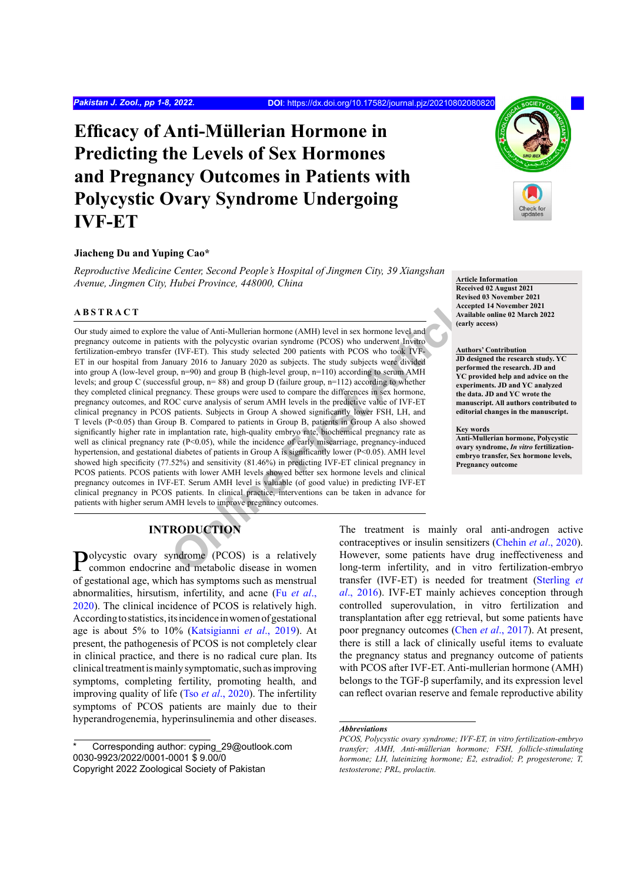# **Efficacy of Anti-Müllerian Hormone in Predicting the Levels of Sex Hormones and Pregnancy Outcomes in Patients with Polycystic Ovary Syndrome Undergoing IVF-ET**

## **Jiacheng Du and Yuping Cao\***

*Reproductive Medicine Center, Second People's Hospital of Jingmen City, 39 Xiangshan Avenue, Jingmen City, Hubei Province, 448000, China Article Information* **Article Information** 

#### **ABSTRACT**

the value of Anti-Mullerian hormone (AMH) level in sex hormone level and<br>
the value of Anti-Mullerian hormone (AMH) level in sex hormone level and<br>
the polycystic ovarian syndrome (PCOS) who underwent Invitro<br>
that (IVF-ET Our study aimed to explore the value of Anti-Mullerian hormone (AMH) level in sex hormone level and pregnancy outcome in patients with the polycystic ovarian syndrome (PCOS) who underwent Invitro fertilization-embryo transfer (IVF-ET). This study selected 200 patients with PCOS who took IVF-ET in our hospital from January 2016 to January 2020 as subjects. The study subjects were divided into group A (low-level group, n=90) and group B (high-level group, n=110) according to serum AMH levels; and group C (successful group, n= 88) and group D (failure group, n=112) according to whether they completed clinical pregnancy. These groups were used to compare the differences in sex hormone, pregnancy outcomes, and ROC curve analysis of serum AMH levels in the predictive value of IVF-ET clinical pregnancy in PCOS patients. Subjects in Group A showed significantly lower FSH, LH, and T levels (P<0.05) than Group B. Compared to patients in Group B, patients in Group A also showed significantly higher rate in implantation rate, high-quality embryo rate, biochemical pregnancy rate as well as clinical pregnancy rate (P<0.05), while the incidence of early miscarriage, pregnancy-induced hypertension, and gestational diabetes of patients in Group A is significantly lower (P<0.05). AMH level showed high specificity (77.52%) and sensitivity (81.46%) in predicting IVF-ET clinical pregnancy in PCOS patients. PCOS patients with lower AMH levels showed better sex hormone levels and clinical pregnancy outcomes in IVF-ET. Serum AMH level is valuable (of good value) in predicting IVF-ET clinical pregnancy in PCOS patients. In clinical practice, interventions can be taken in advance for patients with higher serum AMH levels to improve pregnancy outcomes.



**Received 02 August 2021 Revised 03 November 2021 Accepted 14 November 2021 Available online 02 March 2022 (early access)**

#### **Authors' Contribution**

**JD designed the research study. YC performed the research. JD and YC provided help and advice on the experiments. JD and YC analyzed the data. JD and YC wrote the manuscript. All authors contributed to editorial changes in the manuscript.**

**Key words**

**Anti-Mullerian hormone, Polycystic ovary syndrome,** *In vitro* **fertilizationembryo transfer, Sex hormone levels, Pregnancy outcome**

# **INTRODUCTION**

Polycystic ovary syndrome (PCOS) is a relatively common endocrine and metabolic disease in women of gestational age, which has symptoms such as menstrual abnormalities, hirsutism, infertility, and acne (Fu *[et al](#page-6-0)*., [2020\)](#page-6-0). The clinical incidence of PCOS is relatively high. According to statistics, its incidence in women of gestational age is about 5% to 10% ([Katsigianni](#page-6-1) *et al*., 2019). At present, the pathogenesis of PCOS is not completely clear in clinical practice, and there is no radical cure plan. Its clinical treatment is mainly symptomatic, such as improving symptoms, completing fertility, promoting health, and improving quality of life (Tso *et al*[., 2020\)](#page-7-0). The infertility symptoms of PCOS patients are mainly due to their hyperandrogenemia, hyperinsulinemia and other diseases.

The treatment is mainly oral anti-androgen active contraceptives or insulin sensitizers [\(Chehin](#page-5-0) *et al*., 2020). However, some patients have drug ineffectiveness and long-term infertility, and in vitro fertilization-embryo transfer (IVF-ET) is needed for treatment [\(Sterling](#page-7-1) *et al*[., 2016\)](#page-7-1). IVF-ET mainly achieves conception through controlled superovulation, in vitro fertilization and transplantation after egg retrieval, but some patients have poor pregnancy outcomes (Chen *et al*[., 2017](#page-6-2)). At present, there is still a lack of clinically useful items to evaluate the pregnancy status and pregnancy outcome of patients with PCOS after IVF-ET. Anti-mullerian hormone (AMH) belongs to the TGF-β superfamily, and its expression level can reflect ovarian reserve and female reproductive ability

*Abbreviations*

Corresponding author: cyping\_29@outlook.com 0030-9923/2022/0001-0001 \$ 9.00/0 Copyright 2022 Zoological Society of Pakistan

*PCOS, Polycystic ovary syndrome; IVF-ET, in vitro fertilization-embryo transfer; AMH, Anti-müllerian hormone; FSH, follicle-stimulating hormone; LH, luteinizing hormone; E2, estradiol; P, progesterone; T, testosterone; PRL, prolactin.*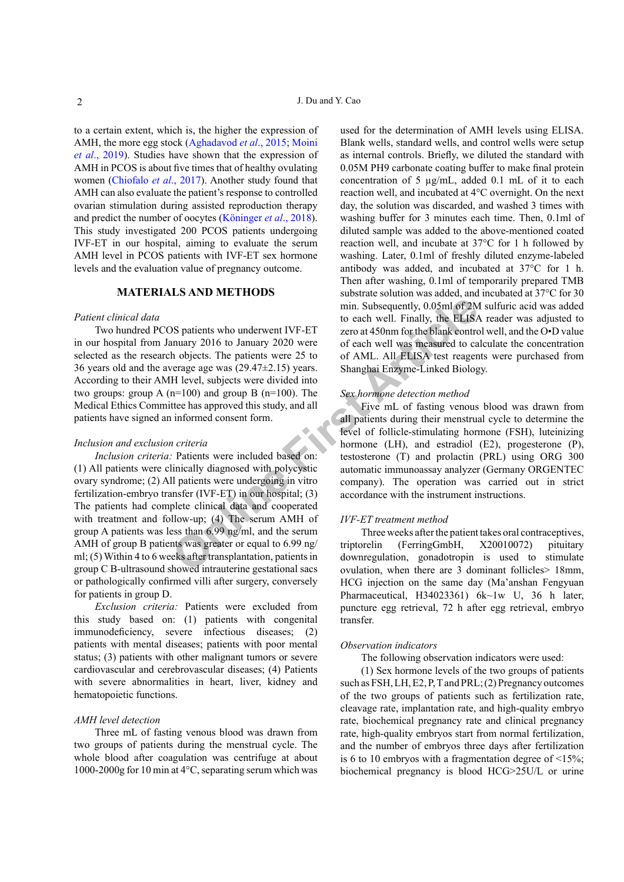to a certain extent, which is, the higher the expression of AMH, the more egg stock [\(Aghadavod](#page-5-1) *et al*., 2015; [Moini](#page-6-3) *et al*[., 2019](#page-6-3)). Studies have shown that the expression of AMH in PCOS is about five times that of healthy ovulating women ([Chiofalo](#page-6-4) *et al*., 2017). Another study found that AMH can also evaluate the patient's response to controlled ovarian stimulation during assisted reproduction therapy and predict the number of oocytes (Köninger *et al*., 2018). This study investigated 200 PCOS patients undergoing IVF-ET in our hospital, aiming to evaluate the serum AMH level in PCOS patients with IVF-ET sex hormone levels and the evaluation value of pregnancy outcome.

# **MATERIALS AND METHODS**

## *Patient clinical data*

Two hundred PCOS patients who underwent IVF-ET in our hospital from January 2016 to January 2020 were selected as the research objects. The patients were 25 to 36 years old and the average age was (29.47±2.15) years. According to their AMH level, subjects were divided into two groups: group A  $(n=100)$  and group B  $(n=100)$ . The Medical Ethics Committee has approved this study, and all patients have signed an informed consent form.

#### *Inclusion and exclusion criteria*

**Solution** and the setter than the setter and the setter and the setter are of each well. Finally, the ELISA numary 2016 to January 2020 were of each well was measured to can holiects. The patients were 25 to of AML. All E *Inclusion criteria:* Patients were included based on: (1) All patients were clinically diagnosed with polycystic ovary syndrome; (2) All patients were undergoing in vitro fertilization-embryo transfer (IVF-ET) in our hospital; (3) The patients had complete clinical data and cooperated with treatment and follow-up; (4) The serum AMH of group A patients was less than 6.99 ng/ml, and the serum AMH of group B patients was greater or equal to 6.99 ng/ ml; (5) Within 4 to 6 weeks after transplantation, patients in group C B-ultrasound showed intrauterine gestational sacs or pathologically confirmed villi after surgery, conversely for patients in group D.

*Exclusion criteria:* Patients were excluded from this study based on: (1) patients with congenital immunodeficiency, severe infectious diseases; (2) patients with mental diseases; patients with poor mental status; (3) patients with other malignant tumors or severe cardiovascular and cerebrovascular diseases; (4) Patients with severe abnormalities in heart, liver, kidney and hematopoietic functions.

## *AMH level detection*

Three mL of fasting venous blood was drawn from two groups of patients during the menstrual cycle. The whole blood after coagulation was centrifuge at about 1000-2000g for 10 min at 4°C, separating serum which was

used for the determination of AMH levels using ELISA. Blank wells, standard wells, and control wells were setup as internal controls. Briefly, we diluted the standard with 0.05M PH9 carbonate coating buffer to make final protein concentration of 5 µg/mL, added 0.1 mL of it to each reaction well, and incubated at 4°C overnight. On the next day, the solution was discarded, and washed 3 times with washing buffer for 3 minutes each time. Then, 0.1ml of diluted sample was added to the above-mentioned coated reaction well, and incubate at 37°C for 1 h followed by washing. Later, 0.1ml of freshly diluted enzyme-labeled antibody was added, and incubated at 37°C for 1 h. Then after washing, 0.1ml of temporarily prepared TMB substrate solution was added, and incubated at 37°C for 30 min. Subsequently, 0.05ml of 2M sulfuric acid was added to each well. Finally, the ELISA reader was adjusted to zero at 450nm for the blank control well, and the O•D value of each well was measured to calculate the concentration of AML. All ELISA test reagents were purchased from Shanghai Enzyme-Linked Biology.

#### *Sex hormone detection method*

Five mL of fasting venous blood was drawn from all patients during their menstrual cycle to determine the level of follicle-stimulating hormone (FSH), luteinizing hormone (LH), and estradiol (E2), progesterone (P), testosterone (T) and prolactin (PRL) using ORG 300 automatic immunoassay analyzer (Germany ORGENTEC company). The operation was carried out in strict accordance with the instrument instructions.

#### *IVF-ET treatment method*

Three weeks after the patient takes oral contraceptives, triptorelin (FerringGmbH, X20010072) pituitary downregulation, gonadotropin is used to stimulate ovulation, when there are 3 dominant follicles> 18mm, HCG injection on the same day (Ma'anshan Fengyuan Pharmaceutical, H34023361) 6k~1w U, 36 h later, puncture egg retrieval, 72 h after egg retrieval, embryo transfer.

#### *Observation indicators*

The following observation indicators were used:

(1) Sex hormone levels of the two groups of patients such as FSH, LH, E2, P, T and PRL; (2) Pregnancy outcomes of the two groups of patients such as fertilization rate, cleavage rate, implantation rate, and high-quality embryo rate, biochemical pregnancy rate and clinical pregnancy rate, high-quality embryos start from normal fertilization, and the number of embryos three days after fertilization is 6 to 10 embryos with a fragmentation degree of  $\leq 15\%$ . biochemical pregnancy is blood HCG>25U/L or urine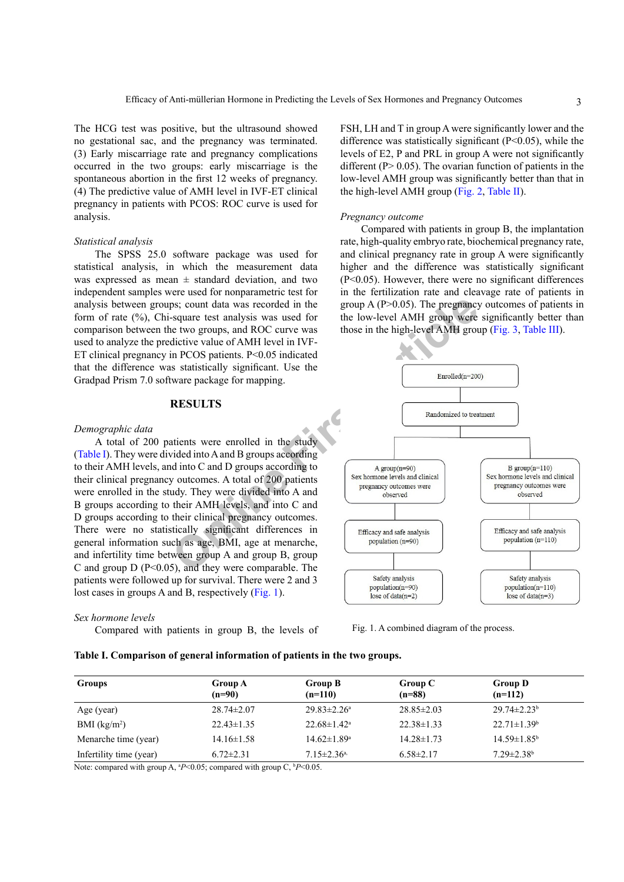The HCG test was positive, but the ultrasound showed no gestational sac, and the pregnancy was terminated. (3) Early miscarriage rate and pregnancy complications occurred in the two groups: early miscarriage is the spontaneous abortion in the first 12 weeks of pregnancy. (4) The predictive value of AMH level in IVF-ET clinical pregnancy in patients with PCOS: ROC curve is used for analysis.

#### *Statistical analysis*

The SPSS 25.0 software package was used for statistical analysis, in which the measurement data was expressed as mean  $\pm$  standard deviation, and two independent samples were used for nonparametric test for analysis between groups; count data was recorded in the form of rate (%), Chi-square test analysis was used for comparison between the two groups, and ROC curve was used to analyze the predictive value of AMH level in IVF-ET clinical pregnancy in PCOS patients. P<0.05 indicated that the difference was statistically significant. Use the Gradpad Prism 7.0 software package for mapping.

## **RESULTS**

#### *Demographic data*

A total of 200 patients were enrolled in the study [\(Table I](#page-2-0)). They were divided into A and B groups according to their AMH levels, and into C and D groups according to their clinical pregnancy outcomes. A total of 200 patients were enrolled in the study. They were divided into A and B groups according to their AMH levels, and into C and D groups according to their clinical pregnancy outcomes. There were no statistically significant differences in general information such as age, BMI, age at menarche, and infertility time between group A and group B, group C and group  $D(P<0.05)$ , and they were comparable. The patients were followed up for survival. There were 2 and 3 lost cases in groups A and B, respectively ([Fig. 1\)](#page-2-1).

#### *Sex hormone levels*

Compared with patients in group B, the levels of

#### <span id="page-2-0"></span>**Table I. Comparison of general information of patients in the two groups.**

FSH, LH and T in group A were significantly lower and the difference was statistically significant  $(P<0.05)$ , while the levels of E2, P and PRL in group A were not significantly different ( $P > 0.05$ ). The ovarian function of patients in the low-level AMH group was significantly better than that in the high-level AMH group ([Fig. 2](#page-3-0), [Table II](#page-3-1)).

#### *Pregnancy outcome*

Compared with patients in group B, the implantation rate, high-quality embryo rate, biochemical pregnancy rate, and clinical pregnancy rate in group A were significantly higher and the difference was statistically significant (P<0.05). However, there were no significant differences in the fertilization rate and cleavage rate of patients in group A  $(P>0.05)$ . The pregnancy outcomes of patients in the low-level AMH group were significantly better than those in the high-level AMH group ([Fig. 3](#page-3-2), [Table III\)](#page-4-0).



<span id="page-2-1"></span>Fig. 1. A combined diagram of the process.

| <b>Groups</b>                                                                                                                                                                                                                                                                                                                    | <b>Group A</b><br>$(n=90)$                   | <b>Group B</b><br>$(n=110)$                                    | Group C<br>$(n=88)$ | <b>Group D</b><br>$(n=112)$   |
|----------------------------------------------------------------------------------------------------------------------------------------------------------------------------------------------------------------------------------------------------------------------------------------------------------------------------------|----------------------------------------------|----------------------------------------------------------------|---------------------|-------------------------------|
| Age (year)                                                                                                                                                                                                                                                                                                                       | $28.74 \pm 2.07$                             | $29.83 \pm 2.26^a$                                             | $28.85 \pm 2.03$    | $29.74 \pm 2.23$ <sup>b</sup> |
| BMI $(kg/m2)$                                                                                                                                                                                                                                                                                                                    | $22.43 \pm 1.35$                             | $22.68 \pm 1.42^a$                                             | $22.38 \pm 1.33$    | $22.71 \pm 1.39^b$            |
| Menarche time (year)                                                                                                                                                                                                                                                                                                             | $14.16 \pm 1.58$                             | $14.62 \pm 1.89^a$                                             | $14.28 \pm 1.73$    | $14.59 \pm 1.85^{\circ}$      |
| Infertility time (year)<br>$\mathbf{r}$ . The state of the state of the state of the state of the state of the state of the state of the state of the state of the state of the state of the state of the state of the state of the state of the state of th<br>$\mathbf{v}$ $\mathbf{v}$ $\mathbf{v}$ $\mathbf{v}$ $\mathbf{v}$ | $6.72 \pm 2.31$<br>$\sim$ $\sim$<br>$\cdots$ | $7.15 \pm 2.36$ <sup>a,</sup><br>$\alpha$ in $\alpha$ $\alpha$ | $6.58 \pm 2.17$     | $7.29 \pm 2.38$ <sup>b</sup>  |

Note: compared with group A, <sup>a</sup>P<0.05; compared with group C, <sup>b</sup>P<0.05.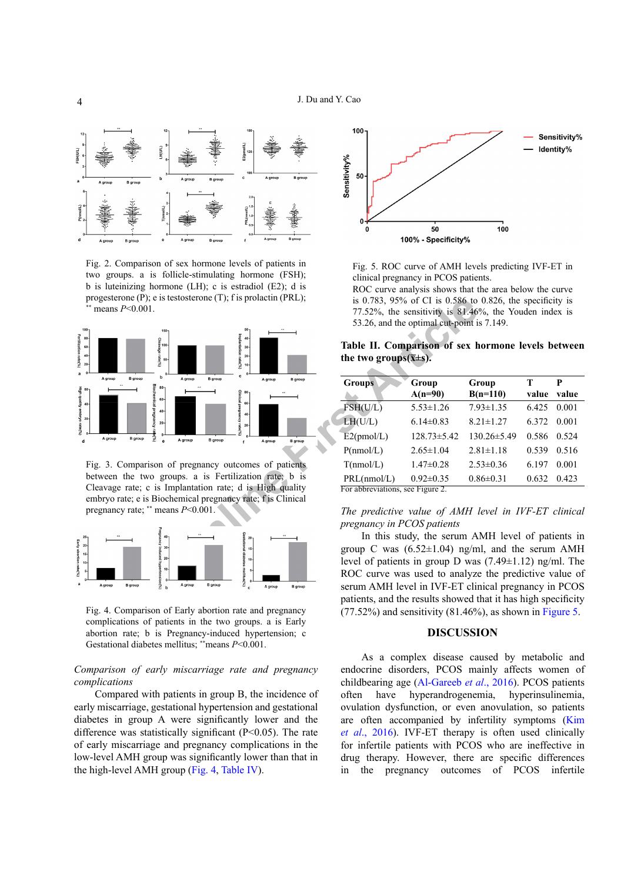

<span id="page-3-0"></span>Fig. 2. Comparison of sex hormone levels of patients in two groups. a is follicle-stimulating hormone (FSH); b is luteinizing hormone (LH); c is estradiol (E2); d is progesterone (P); e is testosterone (T); f is prolactin (PRL); means  $P<0.001$ .



<span id="page-3-2"></span>Fig. 3. Comparison of pregnancy outcomes of patients between the two groups. a is Fertilization rate; b is Cleavage rate; c is Implantation rate; d is High quality embryo rate; e is Biochemical pregnancy rate; f is Clinical pregnancy rate; \*\* means *P*<0.001.



<span id="page-3-3"></span>Fig. 4. Comparison of Early abortion rate and pregnancy complications of patients in the two groups. a is Early abortion rate; b is Pregnancy-induced hypertension; c Gestational diabetes mellitus; \*\*means *P*<0.001.

## *Comparison of early miscarriage rate and pregnancy complications*

Compared with patients in group B, the incidence of early miscarriage, gestational hypertension and gestational diabetes in group A were significantly lower and the difference was statistically significant (P<0.05). The rate of early miscarriage and pregnancy complications in the low-level AMH group was significantly lower than that in the high-level AMH group ([Fig. 4](#page-3-3), [Table IV](#page-4-1)).



<span id="page-3-4"></span>Fig. 5. ROC curve of AMH levels predicting IVF-ET in clinical pregnancy in PCOS patients.

ROC curve analysis shows that the area below the curve is 0.783, 95% of CI is 0.586 to 0.826, the specificity is 77.52%, the sensitivity is 81.46%, the Youden index is 53.26, and the optimal cut-point is 7.149.

<span id="page-3-1"></span>**Table II. Comparison of sex hormone levels between**  the two groups $(\overline{x} \pm s)$ .

| <b>Groups</b>                    | Group             | Group             | т       | P     |
|----------------------------------|-------------------|-------------------|---------|-------|
|                                  | $A(n=90)$         | $B(n=110)$        | value   | value |
| FSH(U/L)                         | $5.53 \pm 1.26$   | $7.93 \pm 1.35$   | 6.425   | 0.001 |
| LH(U/L)                          | $6.14\pm0.83$     | $8.21 \pm 1.27$   | 6.372   | 0.001 |
| E2(pmol/L)                       | $128.73 \pm 5.42$ | $130.26 \pm 5.49$ | 0.586   | 0.524 |
| P(nmol/L)                        | $2.65 \pm 1.04$   | $2.81 \pm 1.18$   | 0.539   | 0.516 |
| T(nmol/L)                        | $1.47\pm0.28$     | $2.53\pm0.36$     | 6 1 9 7 | 0.001 |
| PRL(mmol/L)                      | $0.92 \pm 0.35$   | $0.86 \pm 0.31$   | 0.632   | 0.423 |
| For abbreviations, see Figure 2. |                   |                   |         |       |

## *The predictive value of AMH level in IVF-ET clinical pregnancy in PCOS patients*

In this study, the serum AMH level of patients in group C was  $(6.52 \pm 1.04)$  ng/ml, and the serum AMH level of patients in group D was  $(7.49 \pm 1.12)$  ng/ml. The ROC curve was used to analyze the predictive value of serum AMH level in IVF-ET clinical pregnancy in PCOS patients, and the results showed that it has high specificity  $(77.52\%)$  and sensitivity  $(81.46\%)$ , as shown in [Figure 5.](#page-3-4)

#### **DISCUSSION**

As a complex disease caused by metabolic and endocrine disorders, PCOS mainly affects women of childbearing age [\(Al-Gareeb](#page-5-2) *et al*., 2016). PCOS patients often have hyperandrogenemia, hyperinsulinemia, ovulation dysfunction, or even anovulation, so patients are often accompanied by infertility symptoms [\(Kim](#page-6-5)  *et al*[., 2016\)](#page-6-5). IVF-ET therapy is often used clinically for infertile patients with PCOS who are ineffective in drug therapy. However, there are specific differences in the pregnancy outcomes of PCOS infertile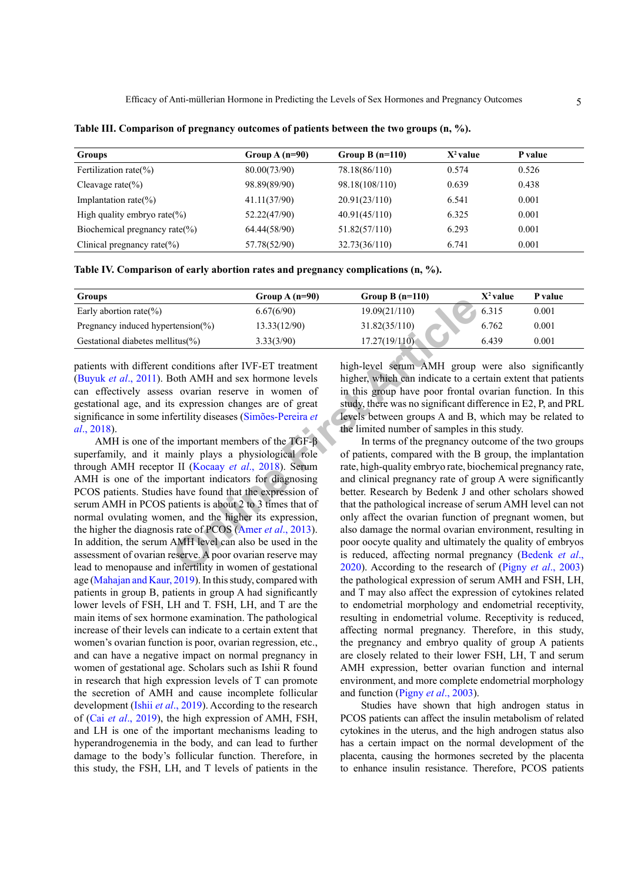| <b>Groups</b>                      | Group $A(n=90)$ | Group B $(n=110)$ | $X^2$ value | P value |
|------------------------------------|-----------------|-------------------|-------------|---------|
| Fertilization rate( $\%$ )         | 80.00(73/90)    | 78.18(86/110)     | 0.574       | 0.526   |
| Cleavage rate $(\% )$              | 98.89(89/90)    | 98.18(108/110)    | 0.639       | 0.438   |
| Implantation rate( $\%$ )          | 41.11(37/90)    | 20.91(23/110)     | 6.541       | 0.001   |
| High quality embryo rate(%)        | 52.22(47/90)    | 40.91(45/110)     | 6.325       | 0.001   |
| Biochemical pregnancy rate $(\% )$ | 64.44(58/90)    | 51.82(57/110)     | 6.293       | 0.001   |
| Clinical pregnancy rate $(\% )$    | 57.78(52/90)    | 32.73(36/110)     | 6.741       | 0.001   |

<span id="page-4-0"></span>**Table III. Comparison of pregnancy outcomes of patients between the two groups (n, %).**

<span id="page-4-1"></span>

| Table IV. Comparison of early abortion rates and pregnancy complications (n, %). |  |  |  |
|----------------------------------------------------------------------------------|--|--|--|
|----------------------------------------------------------------------------------|--|--|--|

| <b>Groups</b>                          | Group $A(n=90)$ | Group B $(n=110)$ | $X^2$ value | P value |
|----------------------------------------|-----------------|-------------------|-------------|---------|
| Early abortion rate(%)                 | 6.67(6/90)      | 19.09(21/110)     | 6.315       | 0.001   |
| Pregnancy induced hypertension $(\% )$ | 13.33(12/90)    | 31.82(35/110)     | 6.762       | 0.001   |
| Gestational diabetes mellitus(%)       | 3.33(3/90)      | 17.27(19/110)     | 6.439       | 0.001   |

patients with different conditions after IVF-ET treatment [\(Buyuk](#page-5-3) *et al*., 2011). Both AMH and sex hormone levels can effectively assess ovarian reserve in women of gestational age, and its expression changes are of great significance in some infertility diseases (Simões-Pereira *et al*., 2018).

**EXECUTE:**<br> **ONEXAMENT (6.67(690)**<br> **ONEXAME (6.67(690)**<br> **ONEXAME (1.97)**<br> **ONEXAME ART (1.97)**<br> **ONEXAME ART ART (1.97)**<br> **ONEXAME ART ART (1.97)**<br> **ONEXAME ART ART ART ART (1.97)**<br> **ONEXAME ART ART ART (1.97)**<br> **ONEXAM** AMH is one of the important members of the TGF-β superfamily, and it mainly plays a physiological role through AMH receptor II (Kocaay *et al*., 2018). Serum AMH is one of the important indicators for diagnosing PCOS patients. Studies have found that the expression of serum AMH in PCOS patients is about 2 to 3 times that of normal ovulating women, and the higher its expression, the higher the diagnosis rate of PCOS (Amer *et al*., 2013). In addition, the serum AMH level can also be used in the assessment of ovarian reserve. A poor ovarian reserve may lead to menopause and infertility in women of gestational age ([Mahajan and Kaur, 2019\)](#page-6-7). In this study, compared with patients in group B, patients in group A had significantly lower levels of FSH, LH and T. FSH, LH, and T are the main items of sex hormone examination. The pathological increase of their levels can indicate to a certain extent that women's ovarian function is poor, ovarian regression, etc., and can have a negative impact on normal pregnancy in women of gestational age. Scholars such as Ishii R found in research that high expression levels of T can promote the secretion of AMH and cause incomplete follicular development (Ishii *et al*[., 2019\)](#page-6-8). According to the research of (Cai *et al*[., 2019\)](#page-5-5), the high expression of AMH, FSH, and LH is one of the important mechanisms leading to hyperandrogenemia in the body, and can lead to further damage to the body's follicular function. Therefore, in this study, the FSH, LH, and T levels of patients in the

high-level serum AMH group were also significantly higher, which can indicate to a certain extent that patients in this group have poor frontal ovarian function. In this study, there was no significant difference in E2, P, and PRL levels between groups A and B, which may be related to the limited number of samples in this study.

In terms of the pregnancy outcome of the two groups of patients, compared with the B group, the implantation rate, high-quality embryo rate, biochemical pregnancy rate, and clinical pregnancy rate of group A were significantly better. Research by Bedenk J and other scholars showed that the pathological increase of serum AMH level can not only affect the ovarian function of pregnant women, but also damage the normal ovarian environment, resulting in poor oocyte quality and ultimately the quality of embryos is reduced, affecting normal pregnancy (Bedenk *et al*., 2020). According to the research of (Pigny *et al*[., 2003\)](#page-6-9) the pathological expression of serum AMH and FSH, LH, and T may also affect the expression of cytokines related to endometrial morphology and endometrial receptivity, resulting in endometrial volume. Receptivity is reduced, affecting normal pregnancy. Therefore, in this study, the pregnancy and embryo quality of group A patients are closely related to their lower FSH, LH, T and serum AMH expression, better ovarian function and internal environment, and more complete endometrial morphology and function (Pigny *et al*[., 2003\)](#page-6-9).

Studies have shown that high androgen status in PCOS patients can affect the insulin metabolism of related cytokines in the uterus, and the high androgen status also has a certain impact on the normal development of the placenta, causing the hormones secreted by the placenta to enhance insulin resistance. Therefore, PCOS patients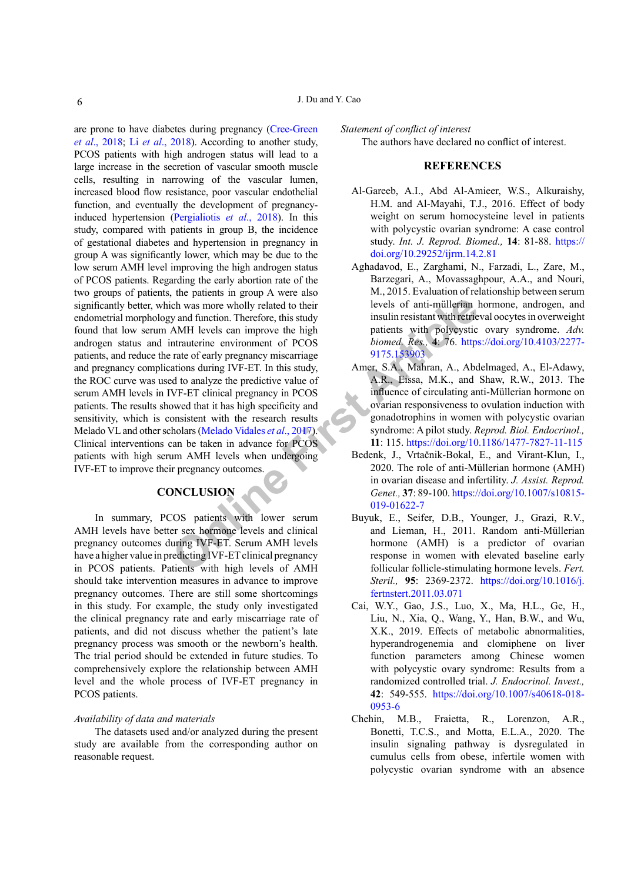For the same wholly related to their<br>
only and function. Therefore, this study<br>
insulin resistant with retriement or the particle particles can improve the high<br>
intrauterine environment of PCOS<br>
trate of early pregnancy m are prone to have diabetes during pregnancy ([Cree-Green](#page-6-10) *et al*[., 2018](#page-6-10); Li *et al*[., 2018](#page-6-11)). According to another study, PCOS patients with high androgen status will lead to a large increase in the secretion of vascular smooth muscle cells, resulting in narrowing of the vascular lumen, increased blood flow resistance, poor vascular endothelial function, and eventually the development of pregnancyinduced hypertension [\(Pergialiotis](#page-6-12) *et al*., 2018). In this study, compared with patients in group B, the incidence of gestational diabetes and hypertension in pregnancy in group A was significantly lower, which may be due to the low serum AMH level improving the high androgen status of PCOS patients. Regarding the early abortion rate of the two groups of patients, the patients in group A were also significantly better, which was more wholly related to their endometrial morphology and function. Therefore, this study found that low serum AMH levels can improve the high androgen status and intrauterine environment of PCOS patients, and reduce the rate of early pregnancy miscarriage and pregnancy complications during IVF-ET. In this study, the ROC curve was used to analyze the predictive value of serum AMH levels in IVF-ET clinical pregnancy in PCOS patients. The results showed that it has high specificity and sensitivity, which is consistent with the research results Melado VL and other scholars (Melado Vidales *et al*., 2017). Clinical interventions can be taken in advance for PCOS patients with high serum AMH levels when undergoing IVF-ET to improve their pregnancy outcomes.

# **CONCLUSION**

In summary, PCOS patients with lower serum AMH levels have better sex hormone levels and clinical pregnancy outcomes during IVF-ET. Serum AMH levels have a higher value in predicting IVF-ET clinical pregnancy in PCOS patients. Patients with high levels of AMH should take intervention measures in advance to improve pregnancy outcomes. There are still some shortcomings in this study. For example, the study only investigated the clinical pregnancy rate and early miscarriage rate of patients, and did not discuss whether the patient's late pregnancy process was smooth or the newborn's health. The trial period should be extended in future studies. To comprehensively explore the relationship between AMH level and the whole process of IVF-ET pregnancy in PCOS patients.

#### *Availability of data and materials*

The datasets used and/or analyzed during the present study are available from the corresponding author on reasonable request.

*Statement of conflict of interest* The authors have declared no conflict of interest.

## **REFERENCES**

- <span id="page-5-2"></span>Al-Gareeb, A.I., Abd Al-Amieer, W.S., Alkuraishy, H.M. and Al-Mayahi, T.J., 2016. Effect of body weight on serum homocysteine level in patients with polycystic ovarian syndrome: A case control study. *Int. J. Reprod. Biomed.,* **14**: 81-88. [https://](https://doi.org/10.29252/ijrm.14.2.81) [doi.org/10.29252/ijrm.14.2.81](https://doi.org/10.29252/ijrm.14.2.81)
- <span id="page-5-1"></span>Aghadavod, E., Zarghami, N., Farzadi, L., Zare, M., Barzegari, A., Movassaghpour, A.A., and Nouri, M., 2015. Evaluation of relationship between serum levels of anti-müllerian hormone, androgen, and insulin resistant with retrieval oocytes in overweight patients with polycystic ovary syndrome. *Adv. biomed. Res.,* **4**: 76. [https://doi.org/10.4103/2277-](https://doi.org/10.4103/2277-9175.153903) 9175.153903
- <span id="page-5-4"></span>Amer, S.A., Mahran, A., Abdelmaged, A., El-Adawy, A.R., Eissa, M.K., and Shaw, R.W., 2013. The influence of circulating anti-Müllerian hormone on ovarian responsiveness to ovulation induction with gonadotrophins in women with polycystic ovarian syndrome: A pilot study. *Reprod. Biol. Endocrinol.,*  **11**: 115. <https://doi.org/10.1186/1477-7827-11-115>
- Bedenk, J., Vrtačnik-Bokal, E., and Virant-Klun, I., 2020. The role of anti-Müllerian hormone (AMH) in ovarian disease and infertility. *J. Assist. Reprod. Genet.,* **37**: 89-100. [https://doi.org/10.1007/s10815-](https://doi.org/10.1007/s10815-019-01622-7) 019-01622-7
- <span id="page-5-3"></span>Buyuk, E., Seifer, D.B., Younger, J., Grazi, R.V., and Lieman, H., 2011. Random anti-Müllerian hormone (AMH) is a predictor of ovarian response in women with elevated baseline early follicular follicle-stimulating hormone levels. *Fert. Steril.,* **95**: 2369-2372. [https://doi.org/10.1016/j.](https://doi.org/10.1016/j.fertnstert.2011.03.071) [fertnstert.2011.03.071](https://doi.org/10.1016/j.fertnstert.2011.03.071)
- <span id="page-5-5"></span>Cai, W.Y., Gao, J.S., Luo, X., Ma, H.L., Ge, H., Liu, N., Xia, Q., Wang, Y., Han, B.W., and Wu, X.K., 2019. Effects of metabolic abnormalities, hyperandrogenemia and clomiphene on liver function parameters among Chinese women with polycystic ovary syndrome: Results from a randomized controlled trial. *J. Endocrinol. Invest.,*  **42**: 549-555. [https://doi.org/10.1007/s40618-018-](https://doi.org/10.1007/s40618-018-0953-6) [0953-6](https://doi.org/10.1007/s40618-018-0953-6)
- <span id="page-5-0"></span>Chehin, M.B., Fraietta, R., Lorenzon, A.R., Bonetti, T.C.S., and Motta, E.L.A., 2020. The insulin signaling pathway is dysregulated in cumulus cells from obese, infertile women with polycystic ovarian syndrome with an absence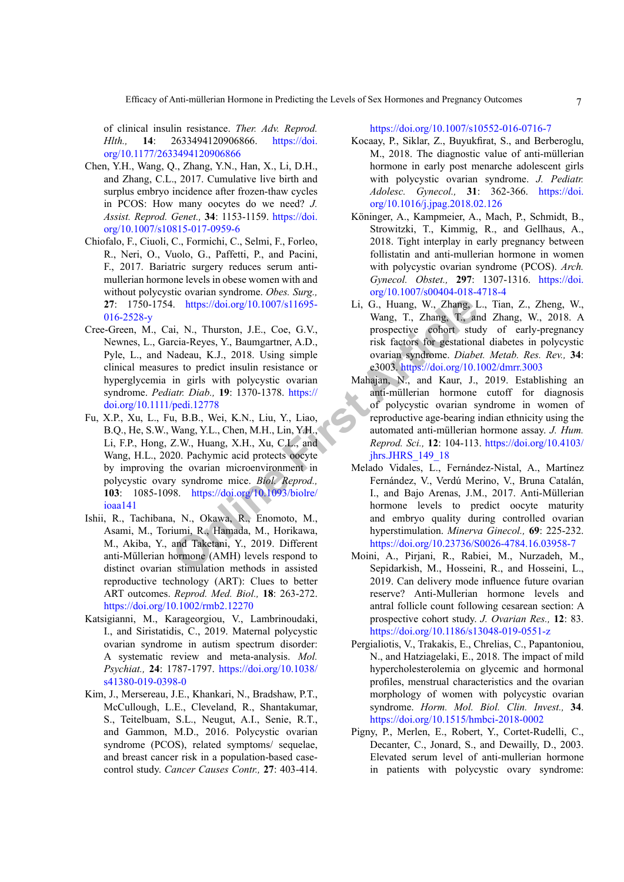of clinical insulin resistance. *Ther. Adv. Reprod. Hlth.,* **14**: 2633494120906866. [https://doi.](https://doi.org/10.1177/2633494120906866) [org/10.1177/2633494120906866](https://doi.org/10.1177/2633494120906866)

- <span id="page-6-2"></span>Chen, Y.H., Wang, Q., Zhang, Y.N., Han, X., Li, D.H., and Zhang, C.L., 2017. Cumulative live birth and surplus embryo incidence after frozen-thaw cycles in PCOS: How many oocytes do we need? *J. Assist. Reprod. Genet.,* **34**: 1153-1159. [https://doi.](https://doi.org/10.1007/s10815-017-0959-6) [org/10.1007/s10815-017-0959-6](https://doi.org/10.1007/s10815-017-0959-6)
- <span id="page-6-4"></span>Chiofalo, F., Ciuoli, C., Formichi, C., Selmi, F., Forleo, R., Neri, O., Vuolo, G., Paffetti, P., and Pacini, F., 2017. Bariatric surgery reduces serum antimullerian hormone levels in obese women with and without polycystic ovarian syndrome. *Obes. Surg.,*  **27**: 1750-1754. https://doi.org/10.1007/s11695- [016-2528-y](https://doi.org/10.1007/s11695-016-2528-y)
- <span id="page-6-10"></span><span id="page-6-0"></span>Cree-Green, M., Cai, N., Thurston, J.E., Coe, G.V., Newnes, L., Garcia-Reyes, Y., Baumgartner, A.D., Pyle, L., and Nadeau, K.J., 2018. Using simple clinical measures to predict insulin resistance or hyperglycemia in girls with polycystic ovarian syndrome. *Pediatr. Diab.,* **19**: 1370-1378. https:// [doi.org/10.1111/pedi.12778](https://doi.org/10.1111/pedi.12778)
- **Example 1.** Internation or CAMH produced anti-multimum and Taketani, Y., 2019. Different A.D., and and the cost are tra[ine](https://doi.org/10.1093/biolre/ioaa141)d anti-multimum and Taketani, Y., 2019. Different Article<br> **ON THE ARTICLE ARTICLE Article** overlai Fu, X.P., Xu, L., Fu, B.B., Wei, K.N., Liu, Y., Liao, B.Q., He, S.W., Wang, Y.L., Chen, M.H., Lin, Y.H., Li, F.P., Hong, Z.W., Huang, X.H., Xu, C.L., and Wang, H.L., 2020. Pachymic acid protects oocyte by improving the ovarian microenvironment in polycystic ovary syndrome mice. *Biol. Reprod.,*  **103**: 1085-1098. https://doi.org/10.1093/biolre/ [ioaa141](https://doi.org/10.1093/biolre/ioaa141)
- <span id="page-6-8"></span>Ishii, R., Tachibana, N., Okawa, R., Enomoto, M., Asami, M., Toriumi, R., Hamada, M., Horikawa, M., Akiba, Y., and Taketani, Y., 2019. Different anti-Műllerian hormone (AMH) levels respond to distinct ovarian stimulation methods in assisted reproductive technology (ART): Clues to better ART outcomes. *Reprod. Med. Biol.,* **18**: 263-272. <https://doi.org/10.1002/rmb2.12270>
- <span id="page-6-1"></span>Katsigianni, M., Karageorgiou, V., Lambrinoudaki, I., and Siristatidis, C., 2019. Maternal polycystic ovarian syndrome in autism spectrum disorder: A systematic review and meta-analysis. *Mol. Psychiat.,* **24**: 1787-1797. [https://doi.org/10.1038/](https://doi.org/10.1038/s41380-019-0398-0) [s41380-019-0398-0](https://doi.org/10.1038/s41380-019-0398-0)
- <span id="page-6-5"></span>Kim, J., Mersereau, J.E., Khankari, N., Bradshaw, P.T., McCullough, L.E., Cleveland, R., Shantakumar, S., Teitelbuam, S.L., Neugut, A.I., Senie, R.T., and Gammon, M.D., 2016. Polycystic ovarian syndrome (PCOS), related symptoms/ sequelae, and breast cancer risk in a population-based casecontrol study. *Cancer Causes Contr.,* **27**: 403-414.

<https://doi.org/10.1007/s10552-016-0716-7>

- <span id="page-6-6"></span>Kocaay, P., Siklar, Z., Buyukfirat, S., and Berberoglu, M., 2018. The diagnostic value of anti-müllerian hormone in early post menarche adolescent girls with polycystic ovarian syndrome. *J. Pediatr. Adolesc. Gynecol.,* **31**: 362-366. [https://doi.](https://doi.org/10.1016/j.jpag.2018.02.126) [org/10.1016/j.jpag.2018.02.126](https://doi.org/10.1016/j.jpag.2018.02.126)
- Köninger, A., Kampmeier, A., Mach, P., Schmidt, B., Strowitzki, T., Kimmig, R., and Gellhaus, A., 2018. Tight interplay in early pregnancy between follistatin and anti-mullerian hormone in women with polycystic ovarian syndrome (PCOS). *Arch. Gynecol. Obstet.,* **297**: 1307-1316. [https://doi.](https://doi.org/10.1007/s00404-018-4718-4) [org/10.1007/s00404-018-4718-4](https://doi.org/10.1007/s00404-018-4718-4)
- <span id="page-6-11"></span>Li, G., Huang, W., Zhang, L., Tian, Z., Zheng, W., Wang, T., Zhang, T., and Zhang, W., 2018. A prospective cohort study of early-pregnancy risk factors for gestational diabetes in polycystic ovarian syndrome. *Diabet. Metab. Res. Rev.,* **34**: e3003. <https://doi.org/10.1002/dmrr.3003>
- <span id="page-6-7"></span>Mahajan, N., and Kaur, J., 2019. Establishing an anti-müllerian hormone cutoff for diagnosis of polycystic ovarian syndrome in women of reproductive age-bearing indian ethnicity using the automated anti-müllerian hormone assay. *J. Hum. Reprod. Sci.,* **12**: 104-113. [https://doi.org/10.4103/](https://doi.org/10.4103/jhrs.JHRS_149_18) jhrs.JHRS\_149\_18
- Melado Vidales, L., Fernández-Nistal, A., Martínez Fernández, V., Verdú Merino, V., Bruna Catalán, I., and Bajo Arenas, J.M., 2017. Anti-Müllerian hormone levels to predict oocyte maturity and embryo quality during controlled ovarian hyperstimulation. *Minerva Ginecol.,* **69**: 225-232. <https://doi.org/10.23736/S0026-4784.16.03958-7>
- <span id="page-6-3"></span>Moini, A., Pirjani, R., Rabiei, M., Nurzadeh, M., Sepidarkish, M., Hosseini, R., and Hosseini, L., 2019. Can delivery mode influence future ovarian reserve? Anti-Mullerian hormone levels and antral follicle count following cesarean section: A prospective cohort study. *J. Ovarian Res.,* **12**: 83. <https://doi.org/10.1186/s13048-019-0551-z>
- <span id="page-6-12"></span>Pergialiotis, V., Trakakis, E., Chrelias, C., Papantoniou, N., and Hatziagelaki, E., 2018. The impact of mild hypercholesterolemia on glycemic and hormonal profiles, menstrual characteristics and the ovarian morphology of women with polycystic ovarian syndrome. *Horm. Mol. Biol. Clin. Invest.,* **34**. <https://doi.org/10.1515/hmbci-2018-0002>
- <span id="page-6-9"></span>Pigny, P., Merlen, E., Robert, Y., Cortet-Rudelli, C., Decanter, C., Jonard, S., and Dewailly, D., 2003. Elevated serum level of anti-mullerian hormone in patients with polycystic ovary syndrome: